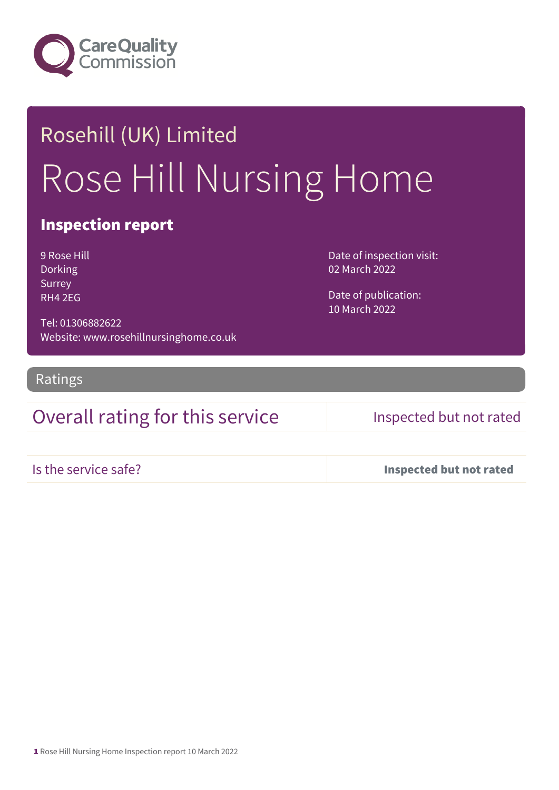

# Rosehill (UK) Limited Rose Hill Nursing Home

### Inspection report

9 Rose Hill Dorking Surrey RH4 2EG

Date of inspection visit: 02 March 2022

Date of publication: 10 March 2022

Tel: 01306882622 Website: www.rosehillnursinghome.co.uk

Ratings

### Overall rating for this service Inspected but not rated

Is the service safe? Inspected but not rated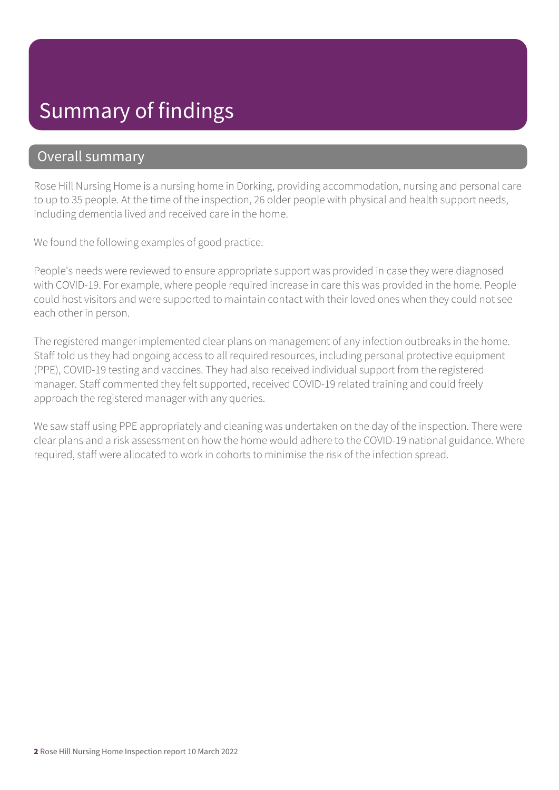## Summary of findings

### Overall summary

Rose Hill Nursing Home is a nursing home in Dorking, providing accommodation, nursing and personal care to up to 35 people. At the time of the inspection, 26 older people with physical and health support needs, including dementia lived and received care in the home.

We found the following examples of good practice.

People's needs were reviewed to ensure appropriate support was provided in case they were diagnosed with COVID-19. For example, where people required increase in care this was provided in the home. People could host visitors and were supported to maintain contact with their loved ones when they could not see each other in person.

The registered manger implemented clear plans on management of any infection outbreaks in the home. Staff told us they had ongoing access to all required resources, including personal protective equipment (PPE), COVID-19 testing and vaccines. They had also received individual support from the registered manager. Staff commented they felt supported, received COVID-19 related training and could freely approach the registered manager with any queries.

We saw staff using PPE appropriately and cleaning was undertaken on the day of the inspection. There were clear plans and a risk assessment on how the home would adhere to the COVID-19 national guidance. Where required, staff were allocated to work in cohorts to minimise the risk of the infection spread.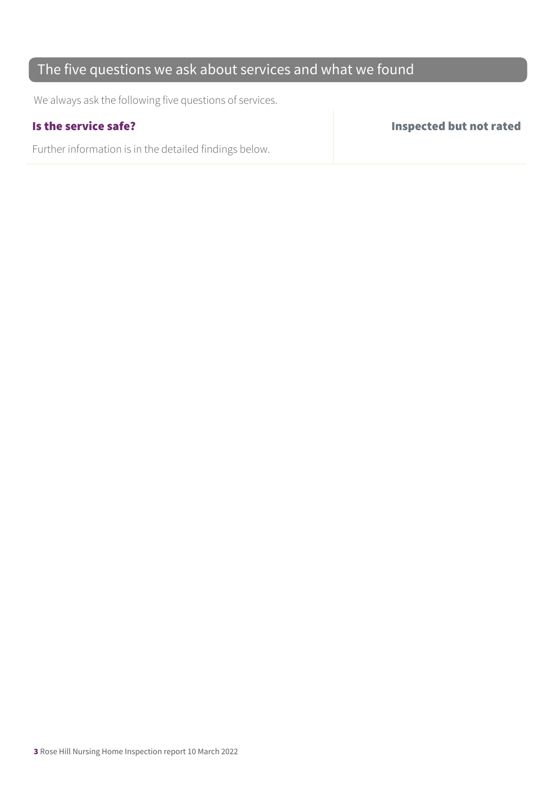### The five questions we ask about services and what we found

We always ask the following five questions of services.

Further information is in the detailed findings below.

Is the service safe? Inspected but not rated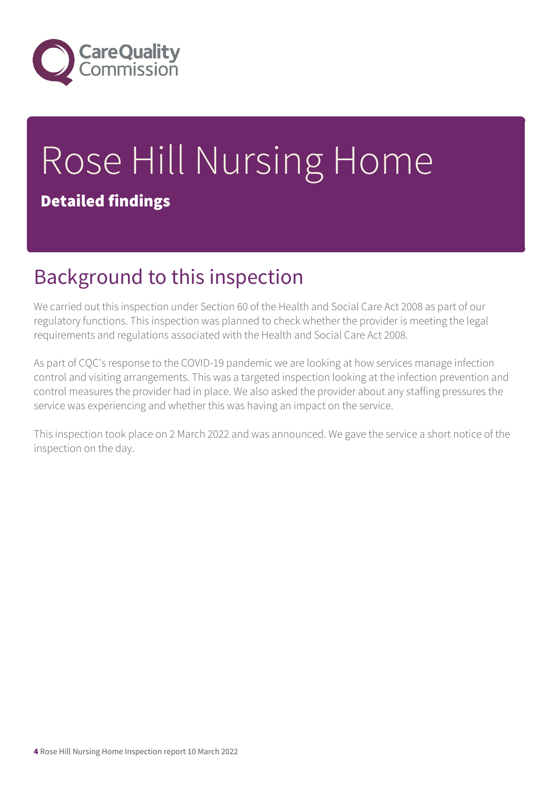

# Rose Hill Nursing Home Detailed findings

## Background to this inspection

We carried out this inspection under Section 60 of the Health and Social Care Act 2008 as part of our regulatory functions. This inspection was planned to check whether the provider is meeting the legal requirements and regulations associated with the Health and Social Care Act 2008.

As part of CQC's response to the COVID-19 pandemic we are looking at how services manage infection control and visiting arrangements. This was a targeted inspection looking at the infection prevention and control measures the provider had in place. We also asked the provider about any staffing pressures the service was experiencing and whether this was having an impact on the service.

This inspection took place on 2 March 2022 and was announced. We gave the service a short notice of the inspection on the day.